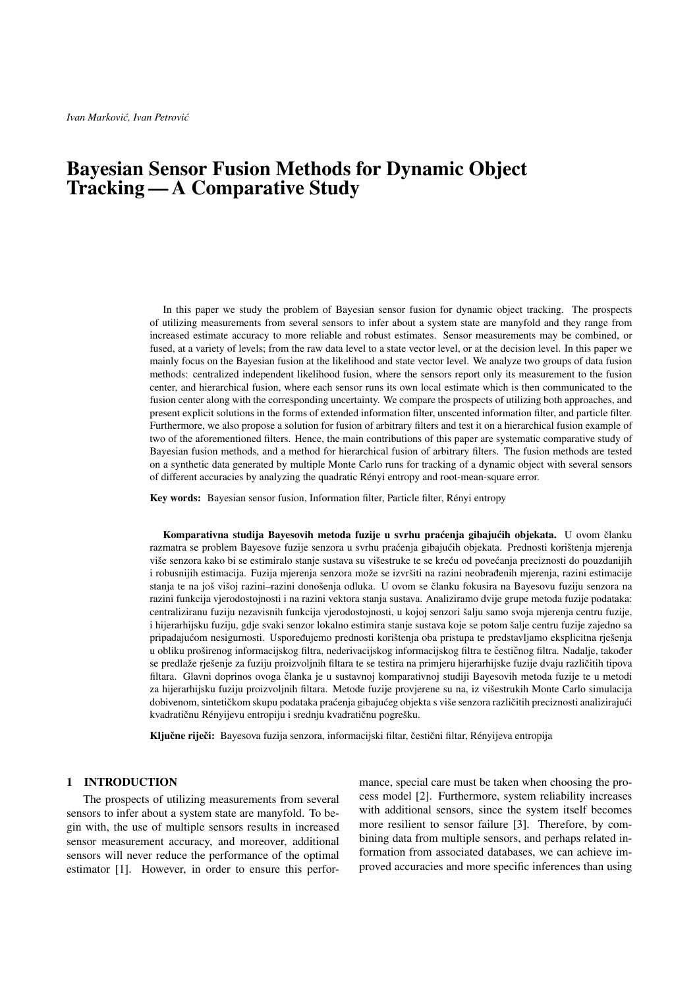# Bayesian Sensor Fusion Methods for Dynamic Object Tracking — A Comparative Study

In this paper we study the problem of Bayesian sensor fusion for dynamic object tracking. The prospects of utilizing measurements from several sensors to infer about a system state are manyfold and they range from increased estimate accuracy to more reliable and robust estimates. Sensor measurements may be combined, or fused, at a variety of levels; from the raw data level to a state vector level, or at the decision level. In this paper we mainly focus on the Bayesian fusion at the likelihood and state vector level. We analyze two groups of data fusion methods: centralized independent likelihood fusion, where the sensors report only its measurement to the fusion center, and hierarchical fusion, where each sensor runs its own local estimate which is then communicated to the fusion center along with the corresponding uncertainty. We compare the prospects of utilizing both approaches, and present explicit solutions in the forms of extended information filter, unscented information filter, and particle filter. Furthermore, we also propose a solution for fusion of arbitrary filters and test it on a hierarchical fusion example of two of the aforementioned filters. Hence, the main contributions of this paper are systematic comparative study of Bayesian fusion methods, and a method for hierarchical fusion of arbitrary filters. The fusion methods are tested on a synthetic data generated by multiple Monte Carlo runs for tracking of a dynamic object with several sensors of different accuracies by analyzing the quadratic Rényi entropy and root-mean-square error.

Key words: Bayesian sensor fusion, Information filter, Particle filter, Rényi entropy

Komparativna studija Bayesovih metoda fuzije u svrhu praćenja gibajućih objekata. U ovom članku razmatra se problem Bayesove fuzije senzora u svrhu praćenja gibajućih objekata. Prednosti korištenja mjerenja više senzora kako bi se estimiralo stanje sustava su višestruke te se kreću od povećanja preciznosti do pouzdanijih i robusnijih estimacija. Fuzija mjerenja senzora može se izvršiti na razini neobrađenih mjerenja, razini estimacije stanja te na još višoj razini–razini donošenja odluka. U ovom se članku fokusira na Bayesovu fuziju senzora na razini funkcija vjerodostojnosti i na razini vektora stanja sustava. Analiziramo dvije grupe metoda fuzije podataka: centraliziranu fuziju nezavisnih funkcija vjerodostojnosti, u kojoj senzori šalju samo svoja mjerenja centru fuzije, i hijerarhijsku fuziju, gdje svaki senzor lokalno estimira stanje sustava koje se potom šalje centru fuzije zajedno sa pripadajućom nesigurnosti. Uspoređujemo prednosti korištenja oba pristupa te predstavljamo eksplicitna rješenja u obliku proširenog informacijskog filtra, nederivacijskog informacijskog filtra te čestičnog filtra. Nadalje, također se predlaže rješenje za fuziju proizvoljnih filtara te se testira na primjeru hijerarhijske fuzije dvaju različitih tipova filtara. Glavni doprinos ovoga članka je u sustavnoj komparativnoj studiji Bayesovih metoda fuzije te u metodi za hijerarhijsku fuziju proizvoljnih filtara. Metode fuzije provjerene su na, iz višestrukih Monte Carlo simulacija dobivenom, sintetičkom skupu podataka praćenja gibajućeg objekta s više senzora različitih preciznosti analizirajući kvadratičnu Rényijevu entropiju i srednju kvadratičnu pogrešku.

Ključne riječi: Bayesova fuzija senzora, informacijski filtar, čestični filtar, Rényijeva entropija

# 1 INTRODUCTION

The prospects of utilizing measurements from several sensors to infer about a system state are manyfold. To begin with, the use of multiple sensors results in increased sensor measurement accuracy, and moreover, additional sensors will never reduce the performance of the optimal estimator [1]. However, in order to ensure this performance, special care must be taken when choosing the process model [2]. Furthermore, system reliability increases with additional sensors, since the system itself becomes more resilient to sensor failure [3]. Therefore, by combining data from multiple sensors, and perhaps related information from associated databases, we can achieve improved accuracies and more specific inferences than using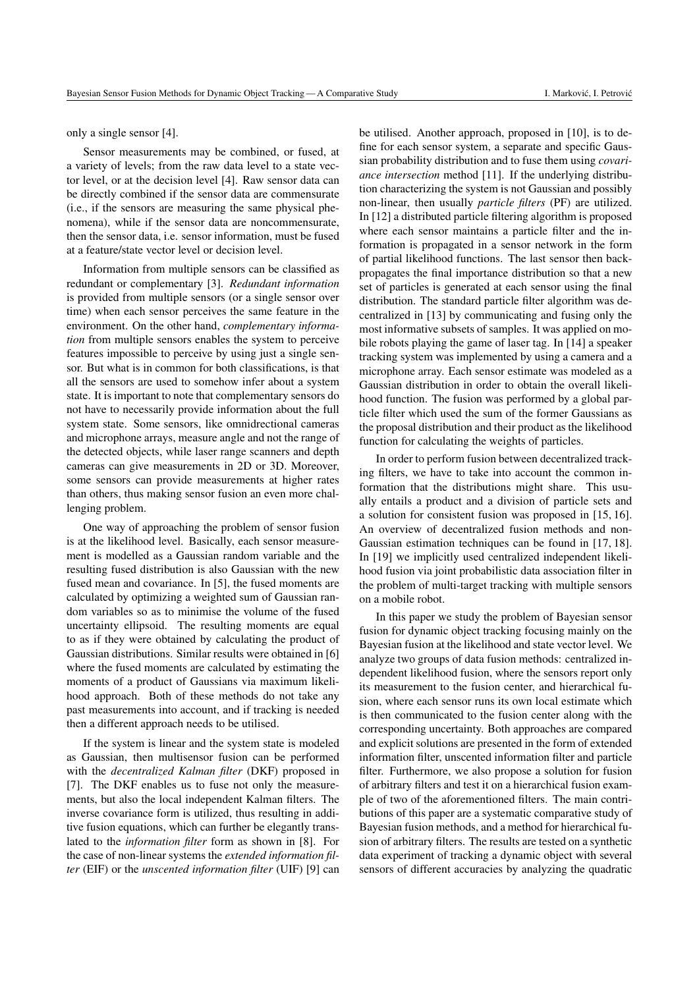only a single sensor [4].

Sensor measurements may be combined, or fused, at a variety of levels; from the raw data level to a state vector level, or at the decision level [4]. Raw sensor data can be directly combined if the sensor data are commensurate (i.e., if the sensors are measuring the same physical phenomena), while if the sensor data are noncommensurate, then the sensor data, i.e. sensor information, must be fused at a feature/state vector level or decision level.

Information from multiple sensors can be classified as redundant or complementary [3]. *Redundant information* is provided from multiple sensors (or a single sensor over time) when each sensor perceives the same feature in the environment. On the other hand, *complementary information* from multiple sensors enables the system to perceive features impossible to perceive by using just a single sensor. But what is in common for both classifications, is that all the sensors are used to somehow infer about a system state. It is important to note that complementary sensors do not have to necessarily provide information about the full system state. Some sensors, like omnidrectional cameras and microphone arrays, measure angle and not the range of the detected objects, while laser range scanners and depth cameras can give measurements in 2D or 3D. Moreover, some sensors can provide measurements at higher rates than others, thus making sensor fusion an even more challenging problem.

One way of approaching the problem of sensor fusion is at the likelihood level. Basically, each sensor measurement is modelled as a Gaussian random variable and the resulting fused distribution is also Gaussian with the new fused mean and covariance. In [5], the fused moments are calculated by optimizing a weighted sum of Gaussian random variables so as to minimise the volume of the fused uncertainty ellipsoid. The resulting moments are equal to as if they were obtained by calculating the product of Gaussian distributions. Similar results were obtained in [6] where the fused moments are calculated by estimating the moments of a product of Gaussians via maximum likelihood approach. Both of these methods do not take any past measurements into account, and if tracking is needed then a different approach needs to be utilised.

If the system is linear and the system state is modeled as Gaussian, then multisensor fusion can be performed with the *decentralized Kalman filter* (DKF) proposed in [7]. The DKF enables us to fuse not only the measurements, but also the local independent Kalman filters. The inverse covariance form is utilized, thus resulting in additive fusion equations, which can further be elegantly translated to the *information filter* form as shown in [8]. For the case of non-linear systems the *extended information filter* (EIF) or the *unscented information filter* (UIF) [9] can be utilised. Another approach, proposed in [10], is to define for each sensor system, a separate and specific Gaussian probability distribution and to fuse them using *covariance intersection* method [11]. If the underlying distribution characterizing the system is not Gaussian and possibly non-linear, then usually *particle filters* (PF) are utilized. In [12] a distributed particle filtering algorithm is proposed where each sensor maintains a particle filter and the information is propagated in a sensor network in the form of partial likelihood functions. The last sensor then backpropagates the final importance distribution so that a new set of particles is generated at each sensor using the final distribution. The standard particle filter algorithm was decentralized in [13] by communicating and fusing only the most informative subsets of samples. It was applied on mobile robots playing the game of laser tag. In [14] a speaker tracking system was implemented by using a camera and a microphone array. Each sensor estimate was modeled as a Gaussian distribution in order to obtain the overall likelihood function. The fusion was performed by a global particle filter which used the sum of the former Gaussians as the proposal distribution and their product as the likelihood function for calculating the weights of particles.

In order to perform fusion between decentralized tracking filters, we have to take into account the common information that the distributions might share. This usually entails a product and a division of particle sets and a solution for consistent fusion was proposed in [15, 16]. An overview of decentralized fusion methods and non-Gaussian estimation techniques can be found in [17, 18]. In [19] we implicitly used centralized independent likelihood fusion via joint probabilistic data association filter in the problem of multi-target tracking with multiple sensors on a mobile robot.

In this paper we study the problem of Bayesian sensor fusion for dynamic object tracking focusing mainly on the Bayesian fusion at the likelihood and state vector level. We analyze two groups of data fusion methods: centralized independent likelihood fusion, where the sensors report only its measurement to the fusion center, and hierarchical fusion, where each sensor runs its own local estimate which is then communicated to the fusion center along with the corresponding uncertainty. Both approaches are compared and explicit solutions are presented in the form of extended information filter, unscented information filter and particle filter. Furthermore, we also propose a solution for fusion of arbitrary filters and test it on a hierarchical fusion example of two of the aforementioned filters. The main contributions of this paper are a systematic comparative study of Bayesian fusion methods, and a method for hierarchical fusion of arbitrary filters. The results are tested on a synthetic data experiment of tracking a dynamic object with several sensors of different accuracies by analyzing the quadratic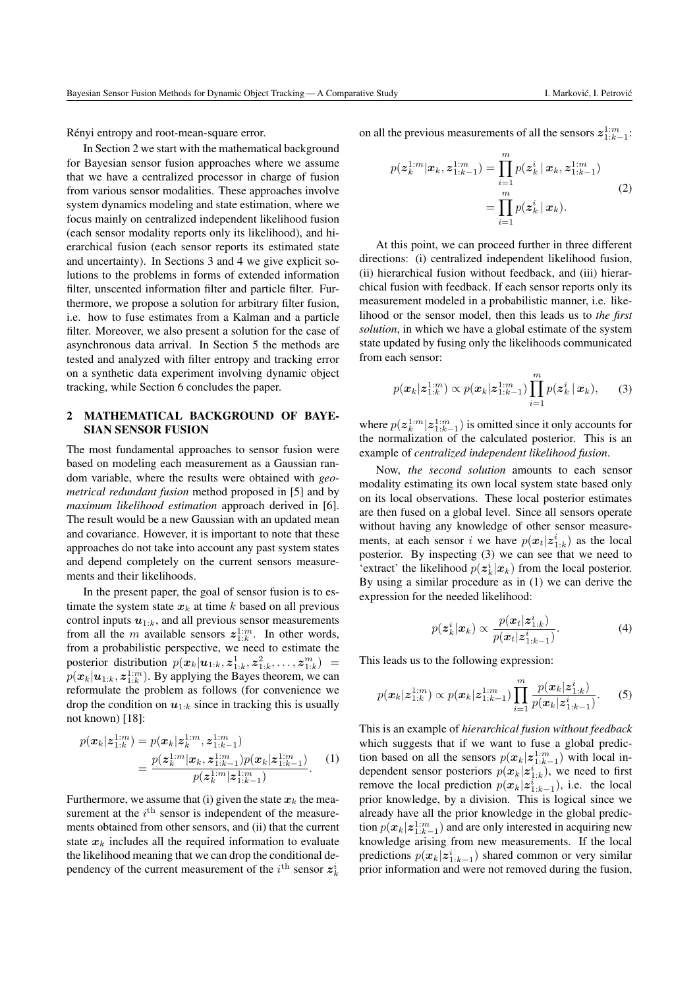Rényi entropy and root-mean-square error.

In Section 2 we start with the mathematical background for Bayesian sensor fusion approaches where we assume that we have a centralized processor in charge of fusion from various sensor modalities. These approaches involve system dynamics modeling and state estimation, where we focus mainly on centralized independent likelihood fusion (each sensor modality reports only its likelihood), and hierarchical fusion (each sensor reports its estimated state and uncertainty). In Sections 3 and 4 we give explicit solutions to the problems in forms of extended information filter, unscented information filter and particle filter. Furthermore, we propose a solution for arbitrary filter fusion, i.e. how to fuse estimates from a Kalman and a particle filter. Moreover, we also present a solution for the case of asynchronous data arrival. In Section 5 the methods are tested and analyzed with filter entropy and tracking error on a synthetic data experiment involving dynamic object tracking, while Section 6 concludes the paper.

## 2 MATHEMATICAL BACKGROUND OF BAYE-SIAN SENSOR FUSION

The most fundamental approaches to sensor fusion were based on modeling each measurement as a Gaussian random variable, where the results were obtained with *geometrical redundant fusion* method proposed in [5] and by *maximum likelihood estimation* approach derived in [6]. The result would be a new Gaussian with an updated mean and covariance. However, it is important to note that these approaches do not take into account any past system states and depend completely on the current sensors measurements and their likelihoods.

In the present paper, the goal of sensor fusion is to estimate the system state  $x_k$  at time k based on all previous control inputs  $u_{1:k}$ , and all previous sensor measurements from all the *m* available sensors  $z_{1:k}^{1:m}$ . In other words, from a probabilistic perspective, we need to estimate the posterior distribution  $p(\mathbf{x}_k | \mathbf{u}_{1:k}, \mathbf{z}_{1:k}^1, \mathbf{z}_{1:k}^2, \dots, \mathbf{z}_{1:k}^m)$  =  $p(\boldsymbol{x}_k | \boldsymbol{u}_{1:k}, \boldsymbol{z}_{1:k}^{1:m})$ . By applying the Bayes theorem, we can reformulate the problem as follows (for convenience we drop the condition on  $u_{1:k}$  since in tracking this is usually not known) [18]:

$$
p(\boldsymbol{x}_k|\boldsymbol{z}_{1:k}^{1:m}) = p(\boldsymbol{x}_k|\boldsymbol{z}_k^{1:m}, \boldsymbol{z}_{1:k-1}^{1:m})
$$
  
= 
$$
\frac{p(\boldsymbol{z}_k^{1:m}|\boldsymbol{x}_k, \boldsymbol{z}_{1:k-1}^{1:m})p(\boldsymbol{x}_k|\boldsymbol{z}_{1:k-1}^{1:m})}{p(\boldsymbol{z}_k^{1:m}|\boldsymbol{z}_{1:k-1}^{1:m})}.
$$
 (1)

Furthermore, we assume that (i) given the state  $x_k$  the measurement at the  $i<sup>th</sup>$  sensor is independent of the measurements obtained from other sensors, and (ii) that the current state  $x_k$  includes all the required information to evaluate the likelihood meaning that we can drop the conditional dependency of the current measurement of the  $i^{\text{th}}$  sensor  $z_k^i$ 

on all the previous measurements of all the sensors  $z_{1:k-1}^{1:m}$ :

$$
p(\mathbf{z}_{k}^{1:m}|\mathbf{x}_{k}, \mathbf{z}_{1:k-1}^{1:m}) = \prod_{i=1}^{m} p(\mathbf{z}_{k}^{i} | \mathbf{x}_{k}, \mathbf{z}_{1:k-1}^{1:m})
$$
  
= 
$$
\prod_{i=1}^{m} p(\mathbf{z}_{k}^{i} | \mathbf{x}_{k}).
$$
 (2)

At this point, we can proceed further in three different directions: (i) centralized independent likelihood fusion, (ii) hierarchical fusion without feedback, and (iii) hierarchical fusion with feedback. If each sensor reports only its measurement modeled in a probabilistic manner, i.e. likelihood or the sensor model, then this leads us to *the first solution*, in which we have a global estimate of the system state updated by fusing only the likelihoods communicated from each sensor:

$$
p(\mathbf{x}_k|\mathbf{z}_{1:k}^{1:m}) \propto p(\mathbf{x}_k|\mathbf{z}_{1:k-1}^{1:m}) \prod_{i=1}^{m} p(\mathbf{z}_k^i | \mathbf{x}_k),
$$
 (3)

where  $p(z_k^{1:m} | z_{1:k-1}^{1:m})$  is omitted since it only accounts for the normalization of the calculated posterior. This is an example of *centralized independent likelihood fusion*.

Now, *the second solution* amounts to each sensor modality estimating its own local system state based only on its local observations. These local posterior estimates are then fused on a global level. Since all sensors operate without having any knowledge of other sensor measurements, at each sensor i we have  $p(x_t|z_{1:k}^i)$  as the local posterior. By inspecting (3) we can see that we need to 'extract' the likelihood  $p(\textbf{z}_k^i|\textbf{x}_k)$  from the local posterior. By using a similar procedure as in (1) we can derive the expression for the needed likelihood:

$$
p(\boldsymbol{z}_k^i|\boldsymbol{x}_k) \propto \frac{p(\boldsymbol{x}_t|\boldsymbol{z}_{1:k}^i)}{p(\boldsymbol{x}_t|\boldsymbol{z}_{1:k-1}^i)}.
$$
 (4)

This leads us to the following expression:

$$
p(\mathbf{x}_k|\mathbf{z}_{1:k}^{1:m}) \propto p(\mathbf{x}_k|\mathbf{z}_{1:k-1}^{1:m}) \prod_{i=1}^m \frac{p(\mathbf{x}_k|\mathbf{z}_{1:k}^i)}{p(\mathbf{x}_k|\mathbf{z}_{1:k-1}^i)}.
$$
 (5)

This is an example of *hierarchical fusion without feedback* which suggests that if we want to fuse a global prediction based on all the sensors  $p(x_k|z_{1:k-1}^{1:m})$  with local independent sensor posteriors  $p(x_k|z_{1:k}^i)$ , we need to first remove the local prediction  $p(x_k|z_{1:k-1}^i)$ , i.e. the local prior knowledge, by a division. This is logical since we already have all the prior knowledge in the global prediction  $p(x_k|z_{1:k-1}^{1:m})$  and are only interested in acquiring new knowledge arising from new measurements. If the local predictions  $p(x_k|z_{1:k-1}^i)$  shared common or very similar prior information and were not removed during the fusion,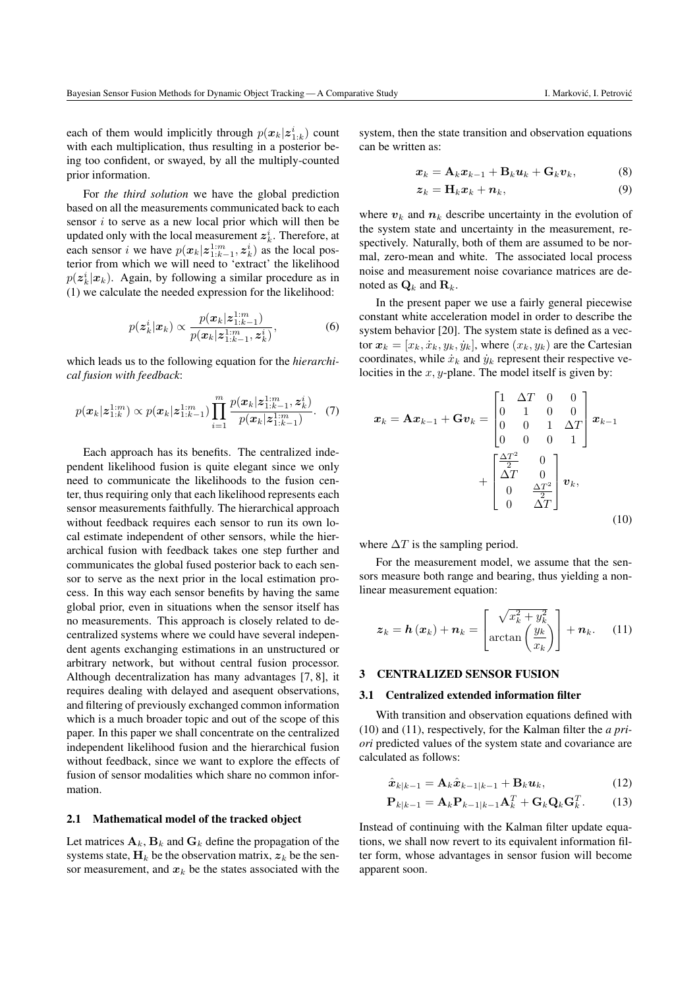each of them would implicitly through  $p(\mathbf{x}_k|\mathbf{z}_{1:k}^i)$  count with each multiplication, thus resulting in a posterior being too confident, or swayed, by all the multiply-counted prior information.

For *the third solution* we have the global prediction based on all the measurements communicated back to each sensor  $i$  to serve as a new local prior which will then be updated only with the local measurement  $z_k^i$ . Therefore, at each sensor i we have  $p(x_k|z_{1:k-1}^{1:m}, z_k^i)$  as the local posterior from which we will need to 'extract' the likelihood  $p(\boldsymbol{z}_k^i | \boldsymbol{x}_k)$ . Again, by following a similar procedure as in (1) we calculate the needed expression for the likelihood:

$$
p(\boldsymbol{z}_k^i|\boldsymbol{x}_k) \propto \frac{p(\boldsymbol{x}_k|\boldsymbol{z}_{1:k-1}^{1:m})}{p(\boldsymbol{x}_k|\boldsymbol{z}_{1:k-1}^{1:m}, \boldsymbol{z}_k^i)},
$$
(6)

which leads us to the following equation for the *hierarchical fusion with feedback*:

$$
p(\mathbf{x}_k|\mathbf{z}_{1:k}^{1:m}) \propto p(\mathbf{x}_k|\mathbf{z}_{1:k-1}^{1:m}) \prod_{i=1}^m \frac{p(\mathbf{x}_k|\mathbf{z}_{1:k-1}^{1:m}, \mathbf{z}_k^i)}{p(\mathbf{x}_k|\mathbf{z}_{1:k-1}^{1:m})}. \quad (7)
$$

Each approach has its benefits. The centralized independent likelihood fusion is quite elegant since we only need to communicate the likelihoods to the fusion center, thus requiring only that each likelihood represents each sensor measurements faithfully. The hierarchical approach without feedback requires each sensor to run its own local estimate independent of other sensors, while the hierarchical fusion with feedback takes one step further and communicates the global fused posterior back to each sensor to serve as the next prior in the local estimation process. In this way each sensor benefits by having the same global prior, even in situations when the sensor itself has no measurements. This approach is closely related to decentralized systems where we could have several independent agents exchanging estimations in an unstructured or arbitrary network, but without central fusion processor. Although decentralization has many advantages [7, 8], it requires dealing with delayed and asequent observations, and filtering of previously exchanged common information which is a much broader topic and out of the scope of this paper. In this paper we shall concentrate on the centralized independent likelihood fusion and the hierarchical fusion without feedback, since we want to explore the effects of fusion of sensor modalities which share no common information.

#### 2.1 Mathematical model of the tracked object

Let matrices  $A_k$ ,  $B_k$  and  $G_k$  define the propagation of the systems state,  $H_k$  be the observation matrix,  $z_k$  be the sensor measurement, and  $x_k$  be the states associated with the

system, then the state transition and observation equations can be written as:

$$
x_k = \mathbf{A}_k x_{k-1} + \mathbf{B}_k u_k + \mathbf{G}_k v_k, \tag{8}
$$

$$
\boldsymbol{z}_k = \mathbf{H}_k \boldsymbol{x}_k + \boldsymbol{n}_k,\tag{9}
$$

where  $v_k$  and  $n_k$  describe uncertainty in the evolution of the system state and uncertainty in the measurement, respectively. Naturally, both of them are assumed to be normal, zero-mean and white. The associated local process noise and measurement noise covariance matrices are denoted as  $\mathbf{Q}_k$  and  $\mathbf{R}_k$ .

In the present paper we use a fairly general piecewise constant white acceleration model in order to describe the system behavior [20]. The system state is defined as a vector  $x_k = [x_k, \dot{x}_k, y_k, \dot{y}_k]$ , where  $(x_k, y_k)$  are the Cartesian coordinates, while  $\dot{x}_k$  and  $\dot{y}_k$  represent their respective velocities in the  $x, y$ -plane. The model itself is given by:

$$
\boldsymbol{x}_{k} = \mathbf{A}\boldsymbol{x}_{k-1} + \mathbf{G}\boldsymbol{v}_{k} = \begin{bmatrix} 1 & \Delta T & 0 & 0 \\ 0 & 1 & 0 & 0 \\ 0 & 0 & 1 & \Delta T \\ 0 & 0 & 0 & 1 \end{bmatrix} \boldsymbol{x}_{k-1} + \begin{bmatrix} \frac{\Delta T^{2}}{2} & 0 \\ \Delta T & 0 \\ 0 & \frac{\Delta T^{2}}{2} \end{bmatrix} \boldsymbol{v}_{k},
$$
\n(10)

where  $\Delta T$  is the sampling period.

For the measurement model, we assume that the sensors measure both range and bearing, thus yielding a nonlinear measurement equation:

$$
\boldsymbol{z}_{k} = \boldsymbol{h}\left(\boldsymbol{x}_{k}\right) + \boldsymbol{n}_{k} = \begin{bmatrix} \sqrt{x_{k}^{2} + y_{k}^{2}} \\ \arctan\left(\frac{y_{k}}{x_{k}}\right) \end{bmatrix} + \boldsymbol{n}_{k}. \tag{11}
$$

#### 3 CENTRALIZED SENSOR FUSION

### 3.1 Centralized extended information filter

With transition and observation equations defined with (10) and (11), respectively, for the Kalman filter the *a priori* predicted values of the system state and covariance are calculated as follows:

$$
\hat{\boldsymbol{x}}_{k|k-1} = \mathbf{A}_k \hat{\boldsymbol{x}}_{k-1|k-1} + \mathbf{B}_k \boldsymbol{u}_k, \tag{12}
$$

$$
\mathbf{P}_{k|k-1} = \mathbf{A}_k \mathbf{P}_{k-1|k-1} \mathbf{A}_k^T + \mathbf{G}_k \mathbf{Q}_k \mathbf{G}_k^T.
$$
 (13)

Instead of continuing with the Kalman filter update equations, we shall now revert to its equivalent information filter form, whose advantages in sensor fusion will become apparent soon.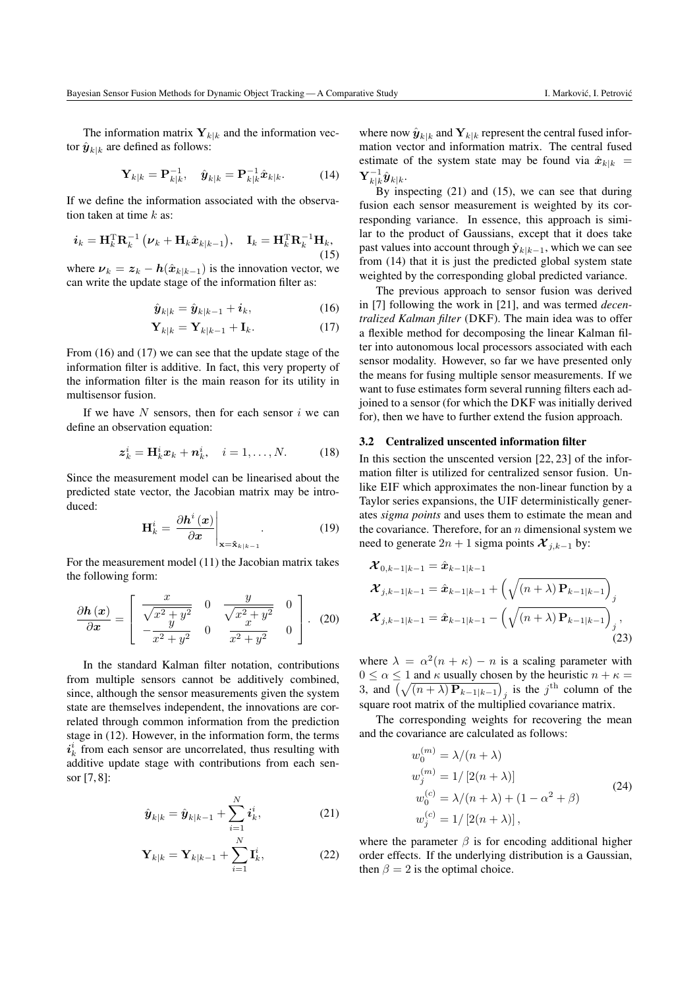The information matrix  $Y_{k|k}$  and the information vector  $\hat{\boldsymbol{y}}_{k|k}$  are defined as follows:

$$
\mathbf{Y}_{k|k} = \mathbf{P}_{k|k}^{-1}, \quad \hat{\boldsymbol{y}}_{k|k} = \mathbf{P}_{k|k}^{-1} \hat{\boldsymbol{x}}_{k|k}.
$$
 (14)

If we define the information associated with the observation taken at time  $k$  as:

$$
\boldsymbol{i}_{k} = \mathbf{H}_{k}^{\mathrm{T}} \mathbf{R}_{k}^{-1} \left( \boldsymbol{\nu}_{k} + \mathbf{H}_{k} \hat{\boldsymbol{x}}_{k|k-1} \right), \quad \mathbf{I}_{k} = \mathbf{H}_{k}^{\mathrm{T}} \mathbf{R}_{k}^{-1} \mathbf{H}_{k}, \tag{15}
$$

where  $v_k = z_k - h(\hat{x}_{k|k-1})$  is the innovation vector, we can write the update stage of the information filter as:

$$
\hat{\boldsymbol{y}}_{k|k} = \hat{\boldsymbol{y}}_{k|k-1} + \boldsymbol{i}_k, \tag{16}
$$

$$
\mathbf{Y}_{k|k} = \mathbf{Y}_{k|k-1} + \mathbf{I}_k. \tag{17}
$$

From (16) and (17) we can see that the update stage of the information filter is additive. In fact, this very property of the information filter is the main reason for its utility in multisensor fusion.

If we have  $N$  sensors, then for each sensor  $i$  we can define an observation equation:

$$
\boldsymbol{z}_k^i = \mathbf{H}_k^i \boldsymbol{x}_k + \boldsymbol{n}_k^i, \quad i = 1, \dots, N. \tag{18}
$$

Since the measurement model can be linearised about the predicted state vector, the Jacobian matrix may be introduced:

$$
\mathbf{H}_{k}^{i} = \left. \frac{\partial \boldsymbol{h}^{i} \left( \boldsymbol{x} \right)}{\partial \boldsymbol{x}} \right|_{\mathbf{x} = \hat{\mathbf{x}}_{k|k-1}}.
$$
 (19)

For the measurement model (11) the Jacobian matrix takes the following form:

$$
\frac{\partial \mathbf{h}(\mathbf{x})}{\partial \mathbf{x}} = \begin{bmatrix} \frac{x}{\sqrt{x^2 + y^2}} & 0 & \frac{y}{\sqrt{x^2 + y^2}} & 0\\ -\frac{y}{x^2 + y^2} & 0 & \frac{x}{x^2 + y^2} & 0 \end{bmatrix}.
$$
 (20)

In the standard Kalman filter notation, contributions from multiple sensors cannot be additively combined, since, although the sensor measurements given the system state are themselves independent, the innovations are correlated through common information from the prediction stage in (12). However, in the information form, the terms  $i_k^i$  from each sensor are uncorrelated, thus resulting with additive update stage with contributions from each sensor [7, 8]:

$$
\hat{\bm{y}}_{k|k} = \hat{\bm{y}}_{k|k-1} + \sum_{i=1}^{N} \bm{i}_k^i, \tag{21}
$$

$$
\mathbf{Y}_{k|k} = \mathbf{Y}_{k|k-1} + \sum_{i=1}^{N} \mathbf{I}_k^i, \tag{22}
$$

where now  $\hat{\mathbf{y}}_{k|k}$  and  $\mathbf{Y}_{k|k}$  represent the central fused information vector and information matrix. The central fused estimate of the system state may be found via  $\hat{x}_{k|k}$  =  $\mathbf{Y}_{k|k}^{-1}\hat{\bm{y}}_{k|k}.$ 

By inspecting (21) and (15), we can see that during fusion each sensor measurement is weighted by its corresponding variance. In essence, this approach is similar to the product of Gaussians, except that it does take past values into account through  $\hat{\mathbf{y}}_{k|k-1}$ , which we can see from (14) that it is just the predicted global system state weighted by the corresponding global predicted variance.

The previous approach to sensor fusion was derived in [7] following the work in [21], and was termed *decentralized Kalman filter* (DKF). The main idea was to offer a flexible method for decomposing the linear Kalman filter into autonomous local processors associated with each sensor modality. However, so far we have presented only the means for fusing multiple sensor measurements. If we want to fuse estimates form several running filters each adjoined to a sensor (for which the DKF was initially derived for), then we have to further extend the fusion approach.

### 3.2 Centralized unscented information filter

In this section the unscented version [22, 23] of the information filter is utilized for centralized sensor fusion. Unlike EIF which approximates the non-linear function by a Taylor series expansions, the UIF deterministically generates *sigma points* and uses them to estimate the mean and the covariance. Therefore, for an  $n$  dimensional system we need to generate  $2n + 1$  sigma points  $\mathcal{X}_{j,k-1}$  by:

$$
\mathcal{X}_{0,k-1|k-1} = \hat{x}_{k-1|k-1} \n\mathcal{X}_{j,k-1|k-1} = \hat{x}_{k-1|k-1} + \left(\sqrt{(n+\lambda)\mathbf{P}_{k-1|k-1}}\right)_j \n\mathcal{X}_{j,k-1|k-1} = \hat{x}_{k-1|k-1} - \left(\sqrt{(n+\lambda)\mathbf{P}_{k-1|k-1}}\right)_j,
$$
\n(23)

where  $\lambda = \alpha^2(n + \kappa) - n$  is a scaling parameter with  $0 \le \alpha \le 1$  and  $\kappa$  usually chosen by the heuristic  $n + \kappa =$ 3, and  $(\sqrt{(n + \lambda) P_{k-1|k-1}})_j$  is the j<sup>th</sup> column of the square root matrix of the multiplied covariance matrix.

The corresponding weights for recovering the mean and the covariance are calculated as follows:

$$
w_0^{(m)} = \lambda/(n + \lambda)
$$
  
\n
$$
w_j^{(m)} = 1/[2(n + \lambda)]
$$
  
\n
$$
w_0^{(c)} = \lambda/(n + \lambda) + (1 - \alpha^2 + \beta)
$$
  
\n
$$
w_j^{(c)} = 1/[2(n + \lambda)],
$$
\n(24)

where the parameter  $\beta$  is for encoding additional higher order effects. If the underlying distribution is a Gaussian, then  $\beta = 2$  is the optimal choice.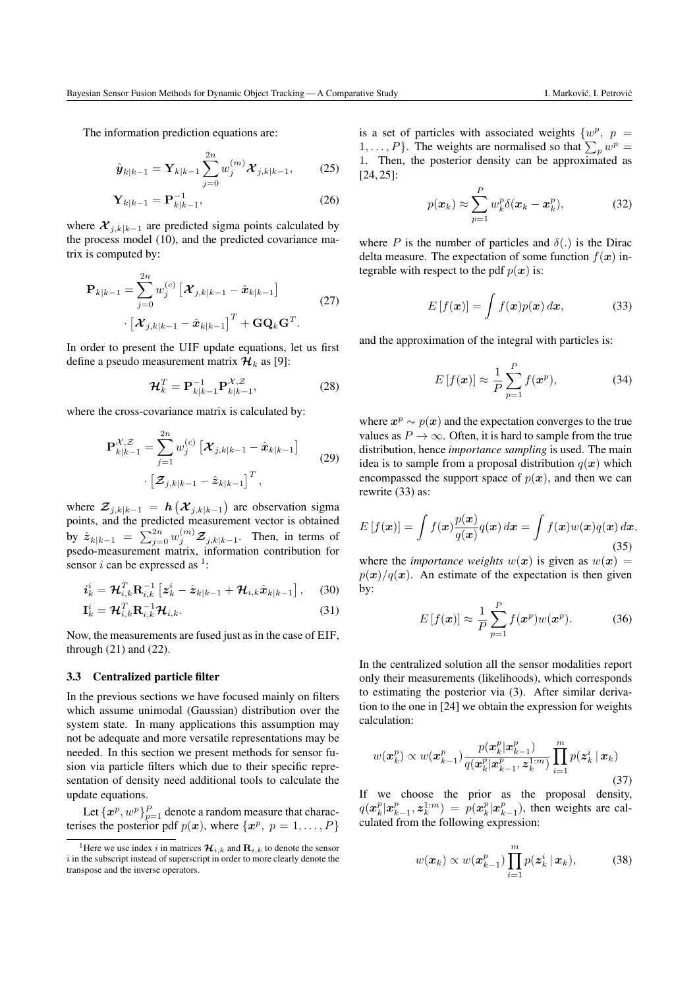The information prediction equations are:

$$
\hat{\boldsymbol{y}}_{k|k-1} = \mathbf{Y}_{k|k-1} \sum_{j=0}^{2n} w_j^{(m)} \boldsymbol{\mathcal{X}}_{j,k|k-1},
$$
 (25)

$$
\mathbf{Y}_{k|k-1} = \mathbf{P}_{k|k-1}^{-1},\tag{26}
$$

where  $\mathcal{X}_{i,k|k-1}$  are predicted sigma points calculated by the process model (10), and the predicted covariance matrix is computed by:

$$
\mathbf{P}_{k|k-1} = \sum_{j=0}^{2n} w_j^{(c)} \left[ \boldsymbol{\mathcal{X}}_{j,k|k-1} - \hat{\boldsymbol{x}}_{k|k-1} \right] \qquad (27)
$$

$$
\cdot \left[ \boldsymbol{\mathcal{X}}_{j,k|k-1} - \hat{\boldsymbol{x}}_{k|k-1} \right]^T + \mathbf{G} \mathbf{Q}_k \mathbf{G}^T.
$$

In order to present the UIF update equations, let us first define a pseudo measurement matrix  $\mathcal{H}_k$  as [9]:

$$
\mathcal{H}_k^T = \mathbf{P}_{k|k-1}^{-1} \mathbf{P}_{k|k-1}^{\mathcal{X}, \mathcal{Z}},\tag{28}
$$

where the cross-covariance matrix is calculated by:

$$
\mathbf{P}_{k|k-1}^{\mathcal{X},\mathcal{Z}} = \sum_{j=1}^{2n} w_j^{(c)} \left[ \mathcal{X}_{j,k|k-1} - \hat{\mathcal{X}}_{k|k-1} \right] \tag{29}
$$

$$
\cdot \left[ \mathcal{Z}_{j,k|k-1} - \hat{\mathcal{Z}}_{k|k-1} \right]^T,
$$

where  $\mathcal{Z}_{j,k|k-1} = h\left(\mathcal{X}_{j,k|k-1}\right)$  are observation sigma points, and the predicted measurement vector is obtained by  $\hat{\mathbf{z}}_{k|k-1} = \sum_{j=0}^{2n} w_j^{(m)} \mathbf{Z}_{j,k|k-1}$ . Then, in terms of psedo-measurement matrix, information contribution for sensor *i* can be expressed as  $\frac{1}{1}$ :

$$
\boldsymbol{i}_{k}^{i} = \boldsymbol{\mathcal{H}}_{i,k}^{T} \mathbf{R}_{i,k}^{-1} \left[ \boldsymbol{z}_{k}^{i} - \hat{\boldsymbol{z}}_{k|k-1} + \boldsymbol{\mathcal{H}}_{i,k} \hat{\boldsymbol{x}}_{k|k-1} \right], \quad (30)
$$

$$
\mathbf{I}_{k}^{i} = \mathbf{\mathcal{H}}_{i,k}^{T} \mathbf{R}_{i,k}^{-1} \mathbf{\mathcal{H}}_{i,k}.
$$
 (31)

Now, the measurements are fused just as in the case of EIF, through  $(21)$  and  $(22)$ .

#### 3.3 Centralized particle filter

In the previous sections we have focused mainly on filters which assume unimodal (Gaussian) distribution over the system state. In many applications this assumption may not be adequate and more versatile representations may be needed. In this section we present methods for sensor fusion via particle filters which due to their specific representation of density need additional tools to calculate the update equations.

Let  $\{\boldsymbol{x}^p,w^p\}_{p=1}^P$  denote a random measure that characterises the posterior pdf  $p(x)$ , where  $\{x^p, p = 1, ..., P\}$ 

is a set of particles with associated weights  $\{w^p, p =$  $1, \ldots, P$ . The weights are normalised so that  $\sum_{p} w^p =$ 1. Then, the posterior density can be approximated as [24, 25]:

$$
p(\boldsymbol{x}_k) \approx \sum_{p=1}^{P} w_k^p \delta(\boldsymbol{x}_k - \boldsymbol{x}_k^p), \qquad (32)
$$

where P is the number of particles and  $\delta(.)$  is the Dirac delta measure. The expectation of some function  $f(x)$  integrable with respect to the pdf  $p(x)$  is:

$$
E[f(\boldsymbol{x})] = \int f(\boldsymbol{x}) p(\boldsymbol{x}) \, d\boldsymbol{x}, \tag{33}
$$

and the approximation of the integral with particles is:

$$
E[f(\boldsymbol{x})] \approx \frac{1}{P} \sum_{p=1}^{P} f(\boldsymbol{x}^p), \tag{34}
$$

where  $x^p \sim p(x)$  and the expectation converges to the true values as  $P \to \infty$ . Often, it is hard to sample from the true distribution, hence *importance sampling* is used. The main idea is to sample from a proposal distribution  $q(x)$  which encompassed the support space of  $p(x)$ , and then we can rewrite (33) as:

$$
E[f(\boldsymbol{x})] = \int f(\boldsymbol{x}) \frac{p(\boldsymbol{x})}{q(\boldsymbol{x})} q(\boldsymbol{x}) d\boldsymbol{x} = \int f(\boldsymbol{x}) w(\boldsymbol{x}) q(\boldsymbol{x}) d\boldsymbol{x},
$$
\n(35)

where the *importance weights*  $w(x)$  is given as  $w(x) =$  $p(x)/q(x)$ . An estimate of the expectation is then given by:

$$
E[f(\boldsymbol{x})] \approx \frac{1}{P} \sum_{p=1}^{P} f(\boldsymbol{x}^p) w(\boldsymbol{x}^p).
$$
 (36)

In the centralized solution all the sensor modalities report only their measurements (likelihoods), which corresponds to estimating the posterior via (3). After similar derivation to the one in [24] we obtain the expression for weights calculation:

$$
w(\boldsymbol{x}_{k}^{p}) \propto w(\boldsymbol{x}_{k-1}^{p}) \frac{p(\boldsymbol{x}_{k}^{p}|\boldsymbol{x}_{k-1}^{p})}{q(\boldsymbol{x}_{k}^{p}|\boldsymbol{x}_{k-1}^{p}, \boldsymbol{z}_{k}^{1:m})} \prod_{i=1}^{m} p(\boldsymbol{z}_{k}^{i} | \boldsymbol{x}_{k})
$$
\n(37)

If we choose the prior as the proposal density,  $q(x_k^p | x_{k-1}^p, z_k^{1:m}) = p(x_k^p | x_{k-1}^p)$ , then weights are calculated from the following expression:

$$
w(\boldsymbol{x}_k) \propto w(\boldsymbol{x}_{k-1}^p) \prod_{i=1}^m p(\boldsymbol{z}_k^i \,|\, \boldsymbol{x}_k),\tag{38}
$$

<sup>&</sup>lt;sup>1</sup>Here we use index i in matrices  $\mathcal{H}_{i,k}$  and  $\mathbf{R}_{i,k}$  to denote the sensor  $i$  in the subscript instead of superscript in order to more clearly denote the transpose and the inverse operators.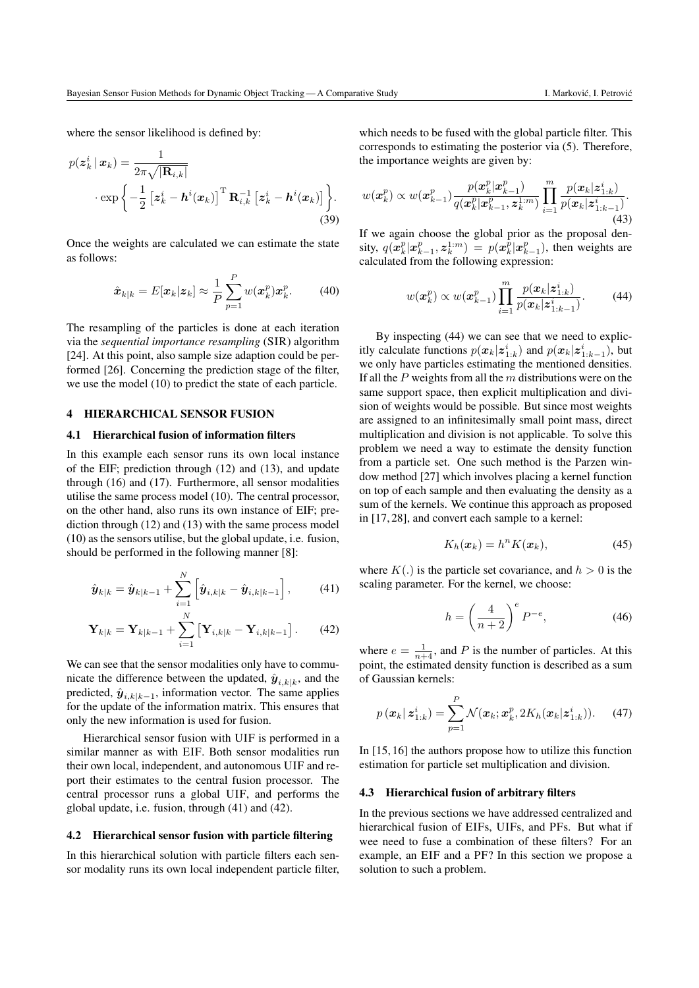where the sensor likelihood is defined by:

$$
p(\mathbf{z}_k^i | \mathbf{x}_k) = \frac{1}{2\pi\sqrt{|\mathbf{R}_{i,k}|}}\n\cdot \exp\left\{-\frac{1}{2}\left[\mathbf{z}_k^i - \mathbf{h}^i(\mathbf{x}_k)\right]^\mathrm{T} \mathbf{R}_{i,k}^{-1}\left[\mathbf{z}_k^i - \mathbf{h}^i(\mathbf{x}_k)\right]\right\}.
$$
\n(39)

Once the weights are calculated we can estimate the state as follows:

$$
\hat{\boldsymbol{x}}_{k|k} = E[\boldsymbol{x}_k | \boldsymbol{z}_k] \approx \frac{1}{P} \sum_{p=1}^{P} w(\boldsymbol{x}_k^p) \boldsymbol{x}_k^p.
$$
 (40)

The resampling of the particles is done at each iteration via the *sequential importance resampling* (SIR) algorithm [24]. At this point, also sample size adaption could be performed [26]. Concerning the prediction stage of the filter, we use the model (10) to predict the state of each particle.

### 4 HIERARCHICAL SENSOR FUSION

#### 4.1 Hierarchical fusion of information filters

In this example each sensor runs its own local instance of the EIF; prediction through (12) and (13), and update through (16) and (17). Furthermore, all sensor modalities utilise the same process model (10). The central processor, on the other hand, also runs its own instance of EIF; prediction through (12) and (13) with the same process model (10) as the sensors utilise, but the global update, i.e. fusion, should be performed in the following manner [8]:

$$
\hat{\bm{y}}_{k|k} = \hat{\bm{y}}_{k|k-1} + \sum_{i=1}^{N} \left[ \hat{\bm{y}}_{i,k|k} - \hat{\bm{y}}_{i,k|k-1} \right],
$$
 (41)

$$
\mathbf{Y}_{k|k} = \mathbf{Y}_{k|k-1} + \sum_{i=1}^{N} \left[ \mathbf{Y}_{i,k|k} - \mathbf{Y}_{i,k|k-1} \right]. \tag{42}
$$

We can see that the sensor modalities only have to communicate the difference between the updated,  $\hat{y}_{i,k|k}$ , and the predicted,  $\hat{\mathbf{y}}_{i,k|k-1}$ , information vector. The same applies for the update of the information matrix. This ensures that only the new information is used for fusion.

Hierarchical sensor fusion with UIF is performed in a similar manner as with EIF. Both sensor modalities run their own local, independent, and autonomous UIF and report their estimates to the central fusion processor. The central processor runs a global UIF, and performs the global update, i.e. fusion, through (41) and (42).

#### 4.2 Hierarchical sensor fusion with particle filtering

In this hierarchical solution with particle filters each sensor modality runs its own local independent particle filter, which needs to be fused with the global particle filter. This corresponds to estimating the posterior via (5). Therefore, the importance weights are given by:

$$
w(\boldsymbol{x}_k^p) \propto w(\boldsymbol{x}_{k-1}^p) \frac{p(\boldsymbol{x}_k^p | \boldsymbol{x}_{k-1}^p)}{q(\boldsymbol{x}_k^p | \boldsymbol{x}_{k-1}^p, \boldsymbol{z}_k^{1:m})} \prod_{i=1}^m \frac{p(\boldsymbol{x}_k | \boldsymbol{z}_{1:k}^i)}{p(\boldsymbol{x}_k | \boldsymbol{z}_{1:k-1}^i)}.
$$
\n(43)

If we again choose the global prior as the proposal density,  $q(\boldsymbol{x}_k^p | \boldsymbol{x}_{k-1}^p, \boldsymbol{z}_k^{1:m}) = p(\boldsymbol{x}_k^p | \boldsymbol{x}_{k-1}^p)$ , then weights are calculated from the following expression:

$$
w(\boldsymbol{x}_{k}^{p}) \propto w(\boldsymbol{x}_{k-1}^{p}) \prod_{i=1}^{m} \frac{p(\boldsymbol{x}_{k}|\boldsymbol{z}_{1:k}^{i})}{p(\boldsymbol{x}_{k}|\boldsymbol{z}_{1:k-1}^{i})}.
$$
 (44)

By inspecting (44) we can see that we need to explicitly calculate functions  $p(\mathbf{x}_k|\mathbf{z}_{1:k}^i)$  and  $p(\mathbf{x}_k|\mathbf{z}_{1:k-1}^i)$ , but we only have particles estimating the mentioned densities. If all the  $P$  weights from all the  $m$  distributions were on the same support space, then explicit multiplication and division of weights would be possible. But since most weights are assigned to an infinitesimally small point mass, direct multiplication and division is not applicable. To solve this problem we need a way to estimate the density function from a particle set. One such method is the Parzen window method [27] which involves placing a kernel function on top of each sample and then evaluating the density as a sum of the kernels. We continue this approach as proposed in [17, 28], and convert each sample to a kernel:

$$
K_h(\boldsymbol{x}_k) = h^n K(\boldsymbol{x}_k),\tag{45}
$$

where  $K(.)$  is the particle set covariance, and  $h > 0$  is the scaling parameter. For the kernel, we choose:

$$
h = \left(\frac{4}{n+2}\right)^e P^{-e},\tag{46}
$$

where  $e = \frac{1}{n+4}$ , and P is the number of particles. At this point, the estimated density function is described as a sum of Gaussian kernels:

$$
p(\boldsymbol{x}_k|\boldsymbol{z}_{1:k}^i)=\sum_{p=1}^P \mathcal{N}(\boldsymbol{x}_k;\boldsymbol{x}_k^p,2K_h(\boldsymbol{x}_k|\boldsymbol{z}_{1:k}^i)).\hspace{10pt}(47)
$$

In [15, 16] the authors propose how to utilize this function estimation for particle set multiplication and division.

#### 4.3 Hierarchical fusion of arbitrary filters

In the previous sections we have addressed centralized and hierarchical fusion of EIFs, UIFs, and PFs. But what if wee need to fuse a combination of these filters? For an example, an EIF and a PF? In this section we propose a solution to such a problem.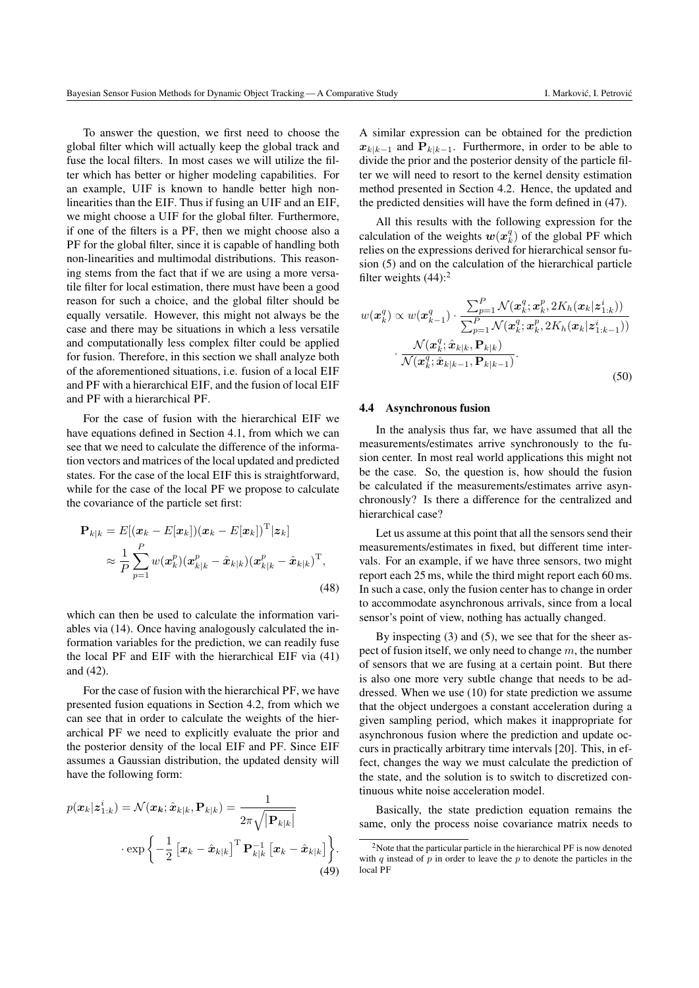To answer the question, we first need to choose the global filter which will actually keep the global track and fuse the local filters. In most cases we will utilize the filter which has better or higher modeling capabilities. For an example, UIF is known to handle better high nonlinearities than the EIF. Thus if fusing an UIF and an EIF, we might choose a UIF for the global filter. Furthermore, if one of the filters is a PF, then we might choose also a PF for the global filter, since it is capable of handling both non-linearities and multimodal distributions. This reasoning stems from the fact that if we are using a more versatile filter for local estimation, there must have been a good reason for such a choice, and the global filter should be equally versatile. However, this might not always be the case and there may be situations in which a less versatile and computationally less complex filter could be applied for fusion. Therefore, in this section we shall analyze both of the aforementioned situations, i.e. fusion of a local EIF and PF with a hierarchical EIF, and the fusion of local EIF and PF with a hierarchical PF.

For the case of fusion with the hierarchical EIF we have equations defined in Section 4.1, from which we can see that we need to calculate the difference of the information vectors and matrices of the local updated and predicted states. For the case of the local EIF this is straightforward, while for the case of the local PF we propose to calculate the covariance of the particle set first:

$$
\mathbf{P}_{k|k} = E[(\boldsymbol{x}_k - E[\boldsymbol{x}_k])(\boldsymbol{x}_k - E[\boldsymbol{x}_k])^{\mathrm{T}}|\boldsymbol{z}_k]
$$

$$
\approx \frac{1}{P} \sum_{p=1}^{P} w(\boldsymbol{x}_k^p)(\boldsymbol{x}_{k|k}^p - \hat{\boldsymbol{x}}_{k|k})(\boldsymbol{x}_{k|k}^p - \hat{\boldsymbol{x}}_{k|k})^{\mathrm{T}},
$$
(48)

which can then be used to calculate the information variables via (14). Once having analogously calculated the information variables for the prediction, we can readily fuse the local PF and EIF with the hierarchical EIF via (41) and (42).

For the case of fusion with the hierarchical PF, we have presented fusion equations in Section 4.2, from which we can see that in order to calculate the weights of the hierarchical PF we need to explicitly evaluate the prior and the posterior density of the local EIF and PF. Since EIF assumes a Gaussian distribution, the updated density will have the following form:

$$
p(\boldsymbol{x}_{k}|\boldsymbol{z}_{1:k}^{i}) = \mathcal{N}(\boldsymbol{x}_{k};\hat{\boldsymbol{x}}_{k|k},\mathbf{P}_{k|k}) = \frac{1}{2\pi\sqrt{|\mathbf{P}_{k|k}|}}\n\cdot \exp\left\{-\frac{1}{2}\left[\boldsymbol{x}_{k} - \hat{\boldsymbol{x}}_{k|k}\right]^{\mathrm{T}}\mathbf{P}_{k|k}^{-1}\left[\boldsymbol{x}_{k} - \hat{\boldsymbol{x}}_{k|k}\right]\right\}.\n\tag{49}
$$

.

A similar expression can be obtained for the prediction  $x_{k|k-1}$  and  $P_{k|k-1}$ . Furthermore, in order to be able to divide the prior and the posterior density of the particle filter we will need to resort to the kernel density estimation method presented in Section 4.2. Hence, the updated and the predicted densities will have the form defined in (47).

All this results with the following expression for the calculation of the weights  $w(x_k^q)$  of the global PF which relies on the expressions derived for hierarchical sensor fusion (5) and on the calculation of the hierarchical particle filter weights  $(44)$ :<sup>2</sup>

$$
w(\boldsymbol{x}_{k}^{q}) \propto w(\boldsymbol{x}_{k-1}^{q}) \cdot \frac{\sum_{p=1}^{P} \mathcal{N}(\boldsymbol{x}_{k}^{q}; \boldsymbol{x}_{k}^{p}, 2K_{h}(\boldsymbol{x}_{k}|\boldsymbol{z}_{1:k}^{i}))}{\sum_{p=1}^{P} \mathcal{N}(\boldsymbol{x}_{k}^{q}; \boldsymbol{x}_{k}^{p}, 2K_{h}(\boldsymbol{x}_{k}|\boldsymbol{z}_{1:k-1}^{i}))}
$$

$$
\cdot \frac{\mathcal{N}(\boldsymbol{x}_{k}^{q}; \hat{\boldsymbol{x}}_{k|k}, \mathbf{P}_{k|k})}{\mathcal{N}(\boldsymbol{x}_{k}^{q}; \hat{\boldsymbol{x}}_{k|k-1}, \mathbf{P}_{k|k-1})}.
$$
(50)

#### 4.4 Asynchronous fusion

In the analysis thus far, we have assumed that all the measurements/estimates arrive synchronously to the fusion center. In most real world applications this might not be the case. So, the question is, how should the fusion be calculated if the measurements/estimates arrive asynchronously? Is there a difference for the centralized and hierarchical case?

Let us assume at this point that all the sensors send their measurements/estimates in fixed, but different time intervals. For an example, if we have three sensors, two might report each 25 ms, while the third might report each 60 ms. In such a case, only the fusion center has to change in order to accommodate asynchronous arrivals, since from a local sensor's point of view, nothing has actually changed.

By inspecting (3) and (5), we see that for the sheer aspect of fusion itself, we only need to change  $m$ , the number of sensors that we are fusing at a certain point. But there is also one more very subtle change that needs to be addressed. When we use (10) for state prediction we assume that the object undergoes a constant acceleration during a given sampling period, which makes it inappropriate for asynchronous fusion where the prediction and update occurs in practically arbitrary time intervals [20]. This, in effect, changes the way we must calculate the prediction of the state, and the solution is to switch to discretized continuous white noise acceleration model.

Basically, the state prediction equation remains the same, only the process noise covariance matrix needs to

<sup>2</sup>Note that the particular particle in the hierarchical PF is now denoted with q instead of  $p$  in order to leave the  $p$  to denote the particles in the local PF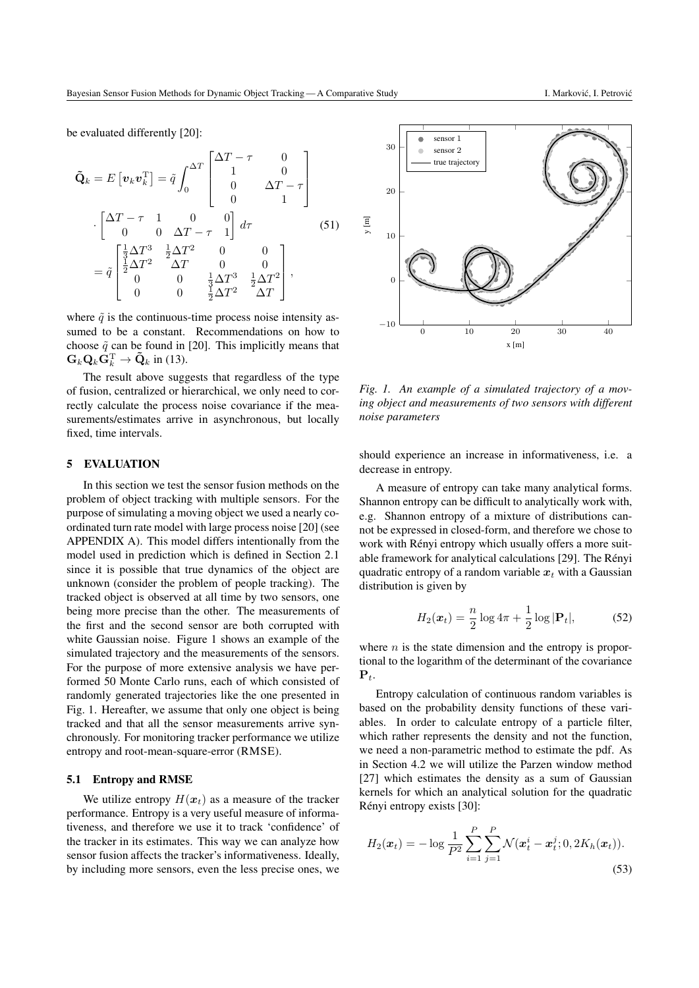be evaluated differently [20]:

$$
\tilde{\mathbf{Q}}_k = E\left[\mathbf{v}_k \mathbf{v}_k^{\mathrm{T}}\right] = \tilde{q} \int_0^{\Delta T} \begin{bmatrix} \Delta T - \tau & 0 \\ 1 & 0 \\ 0 & \Delta T - \tau \\ 0 & 0 & \Delta T - \tau \end{bmatrix}
$$

$$
\cdot \begin{bmatrix} \Delta T - \tau & 1 & 0 & 0 \\ 0 & 0 & \Delta T - \tau & 1 \end{bmatrix} d\tau \qquad (51)
$$

$$
= \tilde{q} \begin{bmatrix} \frac{1}{3} \Delta T^3 & \frac{1}{2} \Delta T^2 & 0 & 0 \\ \frac{1}{2} \Delta T^2 & \Delta T & 0 & 0 \\ 0 & 0 & \frac{1}{3} \Delta T^3 & \frac{1}{2} \Delta T^2 \\ 0 & 0 & \frac{1}{2} \Delta T^2 & \Delta T \end{bmatrix},
$$

where  $\tilde{q}$  is the continuous-time process noise intensity assumed to be a constant. Recommendations on how to choose  $\tilde{q}$  can be found in [20]. This implicitly means that  $\mathbf{G}_k \mathbf{Q}_k \mathbf{G}_k^{\mathrm{T}} \to \tilde{\mathbf{Q}}_k$  in (13).

The result above suggests that regardless of the type of fusion, centralized or hierarchical, we only need to correctly calculate the process noise covariance if the measurements/estimates arrive in asynchronous, but locally fixed, time intervals.

### 5 EVALUATION

In this section we test the sensor fusion methods on the problem of object tracking with multiple sensors. For the purpose of simulating a moving object we used a nearly coordinated turn rate model with large process noise [20] (see APPENDIX A). This model differs intentionally from the model used in prediction which is defined in Section 2.1 since it is possible that true dynamics of the object are unknown (consider the problem of people tracking). The tracked object is observed at all time by two sensors, one being more precise than the other. The measurements of the first and the second sensor are both corrupted with white Gaussian noise. Figure 1 shows an example of the simulated trajectory and the measurements of the sensors. For the purpose of more extensive analysis we have performed 50 Monte Carlo runs, each of which consisted of randomly generated trajectories like the one presented in Fig. 1. Hereafter, we assume that only one object is being tracked and that all the sensor measurements arrive synchronously. For monitoring tracker performance we utilize entropy and root-mean-square-error (RMSE).

## 5.1 Entropy and RMSE

We utilize entropy  $H(x_t)$  as a measure of the tracker performance. Entropy is a very useful measure of informativeness, and therefore we use it to track 'confidence' of the tracker in its estimates. This way we can analyze how sensor fusion affects the tracker's informativeness. Ideally, by including more sensors, even the less precise ones, we



*Fig. 1. An example of a simulated trajectory of a moving object and measurements of two sensors with different noise parameters*

should experience an increase in informativeness, i.e. a decrease in entropy.

A measure of entropy can take many analytical forms. Shannon entropy can be difficult to analytically work with, e.g. Shannon entropy of a mixture of distributions cannot be expressed in closed-form, and therefore we chose to work with Rényi entropy which usually offers a more suitable framework for analytical calculations [29]. The Rényi quadratic entropy of a random variable  $x_t$  with a Gaussian distribution is given by

$$
H_2(x_t) = \frac{n}{2} \log 4\pi + \frac{1}{2} \log |\mathbf{P}_t|,
$$
 (52)

where  $n$  is the state dimension and the entropy is proportional to the logarithm of the determinant of the covariance  $\mathbf{P}_t$ .

Entropy calculation of continuous random variables is based on the probability density functions of these variables. In order to calculate entropy of a particle filter, which rather represents the density and not the function, we need a non-parametric method to estimate the pdf. As in Section 4.2 we will utilize the Parzen window method [27] which estimates the density as a sum of Gaussian kernels for which an analytical solution for the quadratic Rényi entropy exists [30]:

$$
H_2(\boldsymbol{x}_t) = -\log \frac{1}{P^2} \sum_{i=1}^P \sum_{j=1}^P \mathcal{N}(\boldsymbol{x}_t^i - \boldsymbol{x}_t^j; 0, 2K_h(\boldsymbol{x}_t)).
$$
\n(53)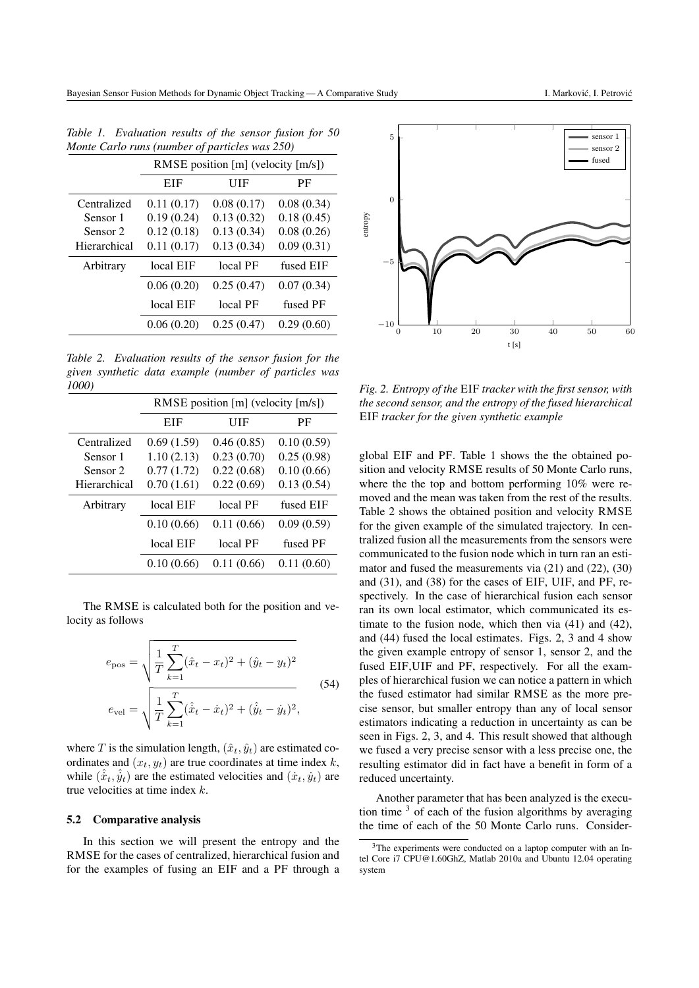|                     | RMSE position [m] (velocity [m/s]) |            |            |
|---------------------|------------------------------------|------------|------------|
|                     | EIF                                | UIF        | РF         |
| Centralized         | 0.11(0.17)                         | 0.08(0.17) | 0.08(0.34) |
| Sensor 1            | 0.19(0.24)                         | 0.13(0.32) | 0.18(0.45) |
| Sensor <sub>2</sub> | 0.12(0.18)                         | 0.13(0.34) | 0.08(0.26) |
| Hierarchical        | 0.11(0.17)                         | 0.13(0.34) | 0.09(0.31) |
| Arbitrary           | local EIF                          | local PF   | fused EIF  |
|                     | 0.06(0.20)                         | 0.25(0.47) | 0.07(0.34) |
|                     | local EIF                          | local PF   | fused PF   |
|                     | 0.06(0.20)                         | 0.25(0.47) | 0.29(0.60) |

*Table 1. Evaluation results of the sensor fusion for 50 Monte Carlo runs (number of particles was 250)*

*Table 2. Evaluation results of the sensor fusion for the given synthetic data example (number of particles was 1000)*

|                     | RMSE position [m] (velocity [m/s]) |            |            |
|---------------------|------------------------------------|------------|------------|
|                     | EIF                                | UIF        | РF         |
| Centralized         | 0.69(1.59)                         | 0.46(0.85) | 0.10(0.59) |
| Sensor 1            | 1.10(2.13)                         | 0.23(0.70) | 0.25(0.98) |
| Sensor <sub>2</sub> | 0.77(1.72)                         | 0.22(0.68) | 0.10(0.66) |
| Hierarchical        | 0.70(1.61)                         | 0.22(0.69) | 0.13(0.54) |
| Arbitrary           | local EIF                          | local PF   | fused EIF  |
|                     | 0.10(0.66)                         | 0.11(0.66) | 0.09(0.59) |
|                     | local EIF                          | local PF   | fused PF   |
|                     | 0.10(0.66)                         | 0.11(0.66) | 0.11(0.60) |

The RMSE is calculated both for the position and velocity as follows

$$
e_{\text{pos}} = \sqrt{\frac{1}{T} \sum_{k=1}^{T} (\hat{x}_t - x_t)^2 + (\hat{y}_t - y_t)^2}
$$
  
\n
$$
e_{\text{vel}} = \sqrt{\frac{1}{T} \sum_{k=1}^{T} (\hat{x}_t - \hat{x}_t)^2 + (\hat{y}_t - \hat{y}_t)^2},
$$
\n(54)

where T is the simulation length,  $(\hat{x}_t, \hat{y}_t)$  are estimated coordinates and  $(x_t, y_t)$  are true coordinates at time index k, while  $(\dot{x}_t, \dot{y}_t)$  are the estimated velocities and  $(\dot{x}_t, \dot{y}_t)$  are true velocities at time index k.

#### 5.2 Comparative analysis

In this section we will present the entropy and the RMSE for the cases of centralized, hierarchical fusion and for the examples of fusing an EIF and a PF through a



*Fig. 2. Entropy of the* EIF *tracker with the first sensor, with the second sensor, and the entropy of the fused hierarchical* EIF *tracker for the given synthetic example*

global EIF and PF. Table 1 shows the the obtained position and velocity RMSE results of 50 Monte Carlo runs, where the the top and bottom performing 10% were removed and the mean was taken from the rest of the results. Table 2 shows the obtained position and velocity RMSE for the given example of the simulated trajectory. In centralized fusion all the measurements from the sensors were communicated to the fusion node which in turn ran an estimator and fused the measurements via (21) and (22), (30) and (31), and (38) for the cases of EIF, UIF, and PF, respectively. In the case of hierarchical fusion each sensor ran its own local estimator, which communicated its estimate to the fusion node, which then via (41) and (42), and (44) fused the local estimates. Figs. 2, 3 and 4 show the given example entropy of sensor 1, sensor 2, and the fused EIF,UIF and PF, respectively. For all the examples of hierarchical fusion we can notice a pattern in which the fused estimator had similar RMSE as the more precise sensor, but smaller entropy than any of local sensor estimators indicating a reduction in uncertainty as can be seen in Figs. 2, 3, and 4. This result showed that although we fused a very precise sensor with a less precise one, the resulting estimator did in fact have a benefit in form of a reduced uncertainty.

Another parameter that has been analyzed is the execution time  $3$  of each of the fusion algorithms by averaging the time of each of the 50 Monte Carlo runs. Consider-

<sup>&</sup>lt;sup>3</sup>The experiments were conducted on a laptop computer with an Intel Core i7 CPU@1.60GhZ, Matlab 2010a and Ubuntu 12.04 operating system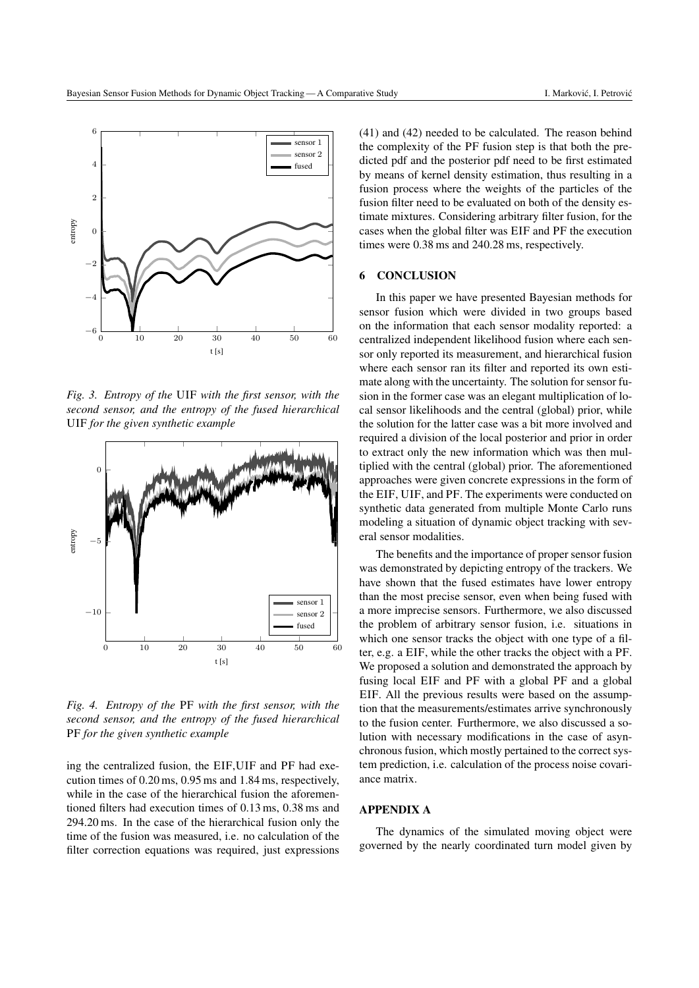

*Fig. 3. Entropy of the* UIF *with the first sensor, with the second sensor, and the entropy of the fused hierarchical* UIF *for the given synthetic example*



*Fig. 4. Entropy of the* PF *with the first sensor, with the second sensor, and the entropy of the fused hierarchical* PF *for the given synthetic example*

ing the centralized fusion, the EIF,UIF and PF had execution times of 0.20 ms, 0.95 ms and 1.84 ms, respectively, while in the case of the hierarchical fusion the aforementioned filters had execution times of 0.13 ms, 0.38 ms and 294.20 ms. In the case of the hierarchical fusion only the time of the fusion was measured, i.e. no calculation of the filter correction equations was required, just expressions (41) and (42) needed to be calculated. The reason behind the complexity of the PF fusion step is that both the predicted pdf and the posterior pdf need to be first estimated by means of kernel density estimation, thus resulting in a fusion process where the weights of the particles of the fusion filter need to be evaluated on both of the density estimate mixtures. Considering arbitrary filter fusion, for the cases when the global filter was EIF and PF the execution times were 0.38 ms and 240.28 ms, respectively.

### 6 CONCLUSION

In this paper we have presented Bayesian methods for sensor fusion which were divided in two groups based on the information that each sensor modality reported: a centralized independent likelihood fusion where each sensor only reported its measurement, and hierarchical fusion where each sensor ran its filter and reported its own estimate along with the uncertainty. The solution for sensor fusion in the former case was an elegant multiplication of local sensor likelihoods and the central (global) prior, while the solution for the latter case was a bit more involved and required a division of the local posterior and prior in order to extract only the new information which was then multiplied with the central (global) prior. The aforementioned approaches were given concrete expressions in the form of the EIF, UIF, and PF. The experiments were conducted on synthetic data generated from multiple Monte Carlo runs modeling a situation of dynamic object tracking with several sensor modalities.

The benefits and the importance of proper sensor fusion was demonstrated by depicting entropy of the trackers. We have shown that the fused estimates have lower entropy than the most precise sensor, even when being fused with a more imprecise sensors. Furthermore, we also discussed the problem of arbitrary sensor fusion, i.e. situations in which one sensor tracks the object with one type of a filter, e.g. a EIF, while the other tracks the object with a PF. We proposed a solution and demonstrated the approach by fusing local EIF and PF with a global PF and a global EIF. All the previous results were based on the assumption that the measurements/estimates arrive synchronously to the fusion center. Furthermore, we also discussed a solution with necessary modifications in the case of asynchronous fusion, which mostly pertained to the correct system prediction, i.e. calculation of the process noise covariance matrix.

### APPENDIX A

The dynamics of the simulated moving object were governed by the nearly coordinated turn model given by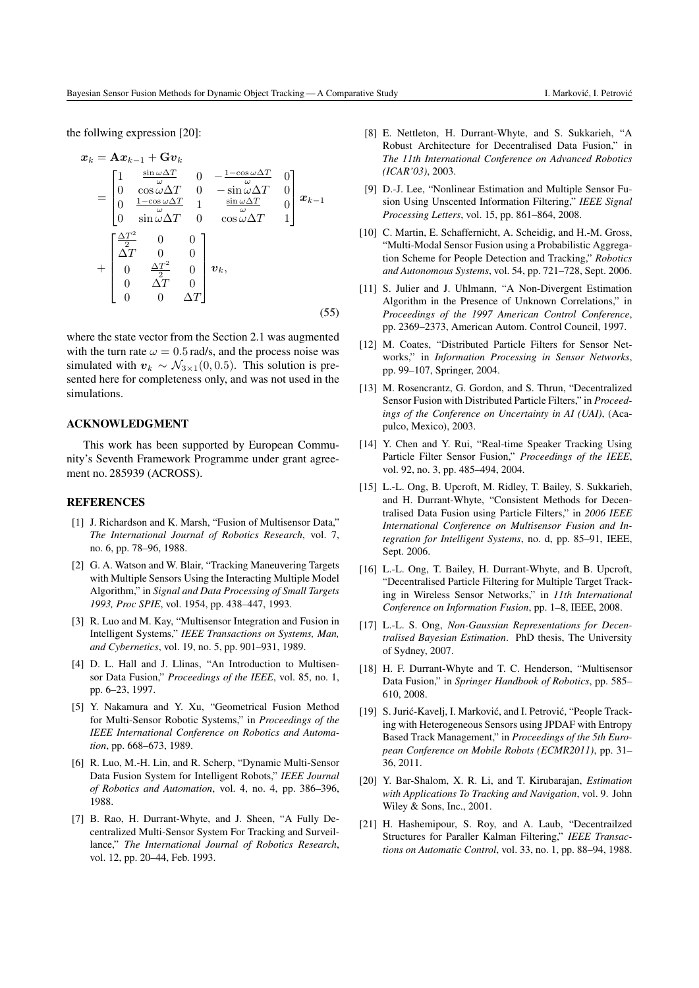the follwing expression [20]:

$$
\mathbf{x}_{k} = \mathbf{A}\mathbf{x}_{k-1} + \mathbf{G}\mathbf{v}_{k}
$$
\n
$$
= \begin{bmatrix}\n1 & \frac{\sin \omega \Delta T}{\omega} & 0 & -\frac{1-\cos \omega \Delta T}{\omega} & 0 \\
0 & \cos \omega \Delta T & 0 & -\sin \omega \Delta T & 0 \\
0 & \frac{1-\cos \omega \Delta T}{\omega} & 1 & \frac{\sin \omega \Delta T}{\omega} & 0 \\
0 & \sin \omega \Delta T & 0 & \cos \omega \Delta T & 1\n\end{bmatrix} \mathbf{x}_{k-1}
$$
\n
$$
+ \begin{bmatrix}\n\frac{\Delta T^{2}}{2} & 0 & 0 \\
0 & \frac{\Delta T^{2}}{2} & 0 \\
0 & \Delta T & 0 \\
0 & 0 & \Delta T\n\end{bmatrix} \mathbf{v}_{k},
$$
\n(55)

where the state vector from the Section 2.1 was augmented with the turn rate  $\omega = 0.5$  rad/s, and the process noise was simulated with  $v_k \sim \mathcal{N}_{3\times1}(0, 0.5)$ . This solution is presented here for completeness only, and was not used in the simulations.

### ACKNOWLEDGMENT

This work has been supported by European Community's Seventh Framework Programme under grant agreement no. 285939 (ACROSS).

#### **REFERENCES**

- [1] J. Richardson and K. Marsh, "Fusion of Multisensor Data," *The International Journal of Robotics Research*, vol. 7, no. 6, pp. 78–96, 1988.
- [2] G. A. Watson and W. Blair, "Tracking Maneuvering Targets with Multiple Sensors Using the Interacting Multiple Model Algorithm," in *Signal and Data Processing of Small Targets 1993, Proc SPIE*, vol. 1954, pp. 438–447, 1993.
- [3] R. Luo and M. Kay, "Multisensor Integration and Fusion in Intelligent Systems," *IEEE Transactions on Systems, Man, and Cybernetics*, vol. 19, no. 5, pp. 901–931, 1989.
- [4] D. L. Hall and J. Llinas, "An Introduction to Multisensor Data Fusion," *Proceedings of the IEEE*, vol. 85, no. 1, pp. 6–23, 1997.
- [5] Y. Nakamura and Y. Xu, "Geometrical Fusion Method for Multi-Sensor Robotic Systems," in *Proceedings of the IEEE International Conference on Robotics and Automation*, pp. 668–673, 1989.
- [6] R. Luo, M.-H. Lin, and R. Scherp, "Dynamic Multi-Sensor Data Fusion System for Intelligent Robots," *IEEE Journal of Robotics and Automation*, vol. 4, no. 4, pp. 386–396, 1988.
- [7] B. Rao, H. Durrant-Whyte, and J. Sheen, "A Fully Decentralized Multi-Sensor System For Tracking and Surveillance," *The International Journal of Robotics Research*, vol. 12, pp. 20–44, Feb. 1993.
- [8] E. Nettleton, H. Durrant-Whyte, and S. Sukkarieh, "A Robust Architecture for Decentralised Data Fusion," in *The 11th International Conference on Advanced Robotics (ICAR'03)*, 2003.
- [9] D.-J. Lee, "Nonlinear Estimation and Multiple Sensor Fusion Using Unscented Information Filtering," *IEEE Signal Processing Letters*, vol. 15, pp. 861–864, 2008.
- [10] C. Martin, E. Schaffernicht, A. Scheidig, and H.-M. Gross, "Multi-Modal Sensor Fusion using a Probabilistic Aggregation Scheme for People Detection and Tracking," *Robotics and Autonomous Systems*, vol. 54, pp. 721–728, Sept. 2006.
- [11] S. Julier and J. Uhlmann, "A Non-Divergent Estimation Algorithm in the Presence of Unknown Correlations," in *Proceedings of the 1997 American Control Conference*, pp. 2369–2373, American Autom. Control Council, 1997.
- [12] M. Coates, "Distributed Particle Filters for Sensor Networks," in *Information Processing in Sensor Networks*, pp. 99–107, Springer, 2004.
- [13] M. Rosencrantz, G. Gordon, and S. Thrun, "Decentralized Sensor Fusion with Distributed Particle Filters," in *Proceedings of the Conference on Uncertainty in AI (UAI)*, (Acapulco, Mexico), 2003.
- [14] Y. Chen and Y. Rui, "Real-time Speaker Tracking Using Particle Filter Sensor Fusion," *Proceedings of the IEEE*, vol. 92, no. 3, pp. 485–494, 2004.
- [15] L.-L. Ong, B. Upcroft, M. Ridley, T. Bailey, S. Sukkarieh, and H. Durrant-Whyte, "Consistent Methods for Decentralised Data Fusion using Particle Filters," in *2006 IEEE International Conference on Multisensor Fusion and Integration for Intelligent Systems*, no. d, pp. 85–91, IEEE, Sept. 2006.
- [16] L.-L. Ong, T. Bailey, H. Durrant-Whyte, and B. Upcroft, "Decentralised Particle Filtering for Multiple Target Tracking in Wireless Sensor Networks," in *11th International Conference on Information Fusion*, pp. 1–8, IEEE, 2008.
- [17] L.-L. S. Ong, *Non-Gaussian Representations for Decentralised Bayesian Estimation*. PhD thesis, The University of Sydney, 2007.
- [18] H. F. Durrant-Whyte and T. C. Henderson, "Multisensor Data Fusion," in *Springer Handbook of Robotics*, pp. 585– 610, 2008.
- [19] S. Jurić-Kavelj, I. Marković, and I. Petrović, "People Tracking with Heterogeneous Sensors using JPDAF with Entropy Based Track Management," in *Proceedings of the 5th European Conference on Mobile Robots (ECMR2011)*, pp. 31– 36, 2011.
- [20] Y. Bar-Shalom, X. R. Li, and T. Kirubarajan, *Estimation with Applications To Tracking and Navigation*, vol. 9. John Wiley & Sons, Inc., 2001.
- [21] H. Hashemipour, S. Roy, and A. Laub, "Decentrailzed Structures for Paraller Kalman Filtering," *IEEE Transactions on Automatic Control*, vol. 33, no. 1, pp. 88–94, 1988.